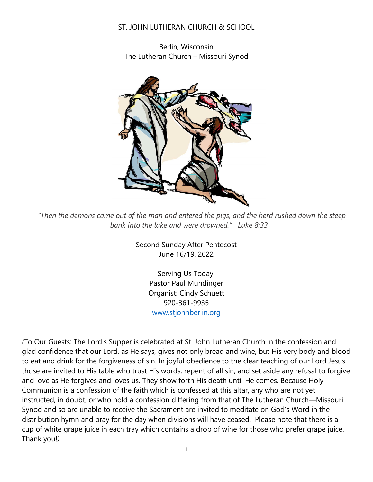### ST. JOHN LUTHERAN CHURCH & SCHOOL

Berlin, Wisconsin The Lutheran Church – Missouri Synod



*"Then the demons came out of the man and entered the pigs, and the herd rushed down the steep bank into the lake and were drowned." Luke 8:33*

Second Sunday After Pentecost June 16/19, 2022

> Serving Us Today: Pastor Paul Mundinger Organist: Cindy Schuett 920-361-9935 [www.stjohnberlin.org](http://www.stjohnberlin.org/)

*(*To Our Guests: The Lord's Supper is celebrated at St. John Lutheran Church in the confession and glad confidence that our Lord, as He says, gives not only bread and wine, but His very body and blood to eat and drink for the forgiveness of sin. In joyful obedience to the clear teaching of our Lord Jesus those are invited to His table who trust His words, repent of all sin, and set aside any refusal to forgive and love as He forgives and loves us. They show forth His death until He comes. Because Holy Communion is a confession of the faith which is confessed at this altar, any who are not yet instructed, in doubt, or who hold a confession differing from that of The Lutheran Church—Missouri Synod and so are unable to receive the Sacrament are invited to meditate on God's Word in the distribution hymn and pray for the day when divisions will have ceased. Please note that there is a cup of white grape juice in each tray which contains a drop of wine for those who prefer grape juice. Thank you!*)*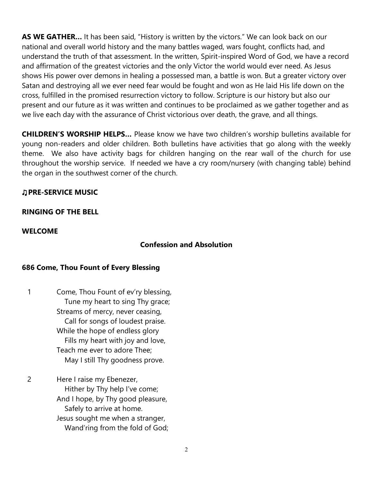**AS WE GATHER…** It has been said, "History is written by the victors." We can look back on our national and overall world history and the many battles waged, wars fought, conflicts had, and understand the truth of that assessment. In the written, Spirit-inspired Word of God, we have a record and affirmation of the greatest victories and the only Victor the world would ever need. As Jesus shows His power over demons in healing a possessed man, a battle is won. But a greater victory over Satan and destroying all we ever need fear would be fought and won as He laid His life down on the cross, fulfilled in the promised resurrection victory to follow. Scripture is our history but also our present and our future as it was written and continues to be proclaimed as we gather together and as we live each day with the assurance of Christ victorious over death, the grave, and all things.

**CHILDREN'S WORSHIP HELPS…** Please know we have two children's worship bulletins available for young non-readers and older children. Both bulletins have activities that go along with the weekly theme. We also have activity bags for children hanging on the rear wall of the church for use throughout the worship service. If needed we have a cry room/nursery (with changing table) behind the organ in the southwest corner of the church.

## ♫**PRE-SERVICE MUSIC**

### **RINGING OF THE BELL**

#### **WELCOME**

### **Confession and Absolution**

### **686 Come, Thou Fount of Every Blessing**

- 1 Come, Thou Fount of ev'ry blessing, Tune my heart to sing Thy grace; Streams of mercy, never ceasing, Call for songs of loudest praise. While the hope of endless glory Fills my heart with joy and love, Teach me ever to adore Thee; May I still Thy goodness prove.
- 2 Here I raise my Ebenezer, Hither by Thy help I've come; And I hope, by Thy good pleasure, Safely to arrive at home. Jesus sought me when a stranger, Wand'ring from the fold of God;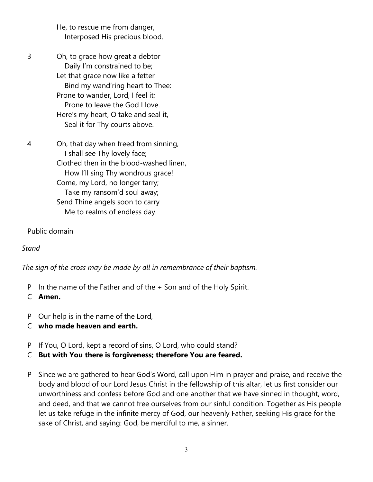He, to rescue me from danger, Interposed His precious blood.

- 3 Oh, to grace how great a debtor Daily I'm constrained to be; Let that grace now like a fetter Bind my wand'ring heart to Thee: Prone to wander, Lord, I feel it; Prone to leave the God I love. Here's my heart, O take and seal it, Seal it for Thy courts above.
- 4 Oh, that day when freed from sinning, I shall see Thy lovely face; Clothed then in the blood-washed linen, How I'll sing Thy wondrous grace! Come, my Lord, no longer tarry; Take my ransom'd soul away; Send Thine angels soon to carry Me to realms of endless day.

Public domain

*Stand*

*The sign of the cross may be made by all in remembrance of their baptism.*

- P In the name of the Father and of the + Son and of the Holy Spirit.
- C **Amen.**
- P Our help is in the name of the Lord,
- C **who made heaven and earth.**
- P If You, O Lord, kept a record of sins, O Lord, who could stand?
- C **But with You there is forgiveness; therefore You are feared.**
- P Since we are gathered to hear God's Word, call upon Him in prayer and praise, and receive the body and blood of our Lord Jesus Christ in the fellowship of this altar, let us first consider our unworthiness and confess before God and one another that we have sinned in thought, word, and deed, and that we cannot free ourselves from our sinful condition. Together as His people let us take refuge in the infinite mercy of God, our heavenly Father, seeking His grace for the sake of Christ, and saying: God, be merciful to me, a sinner.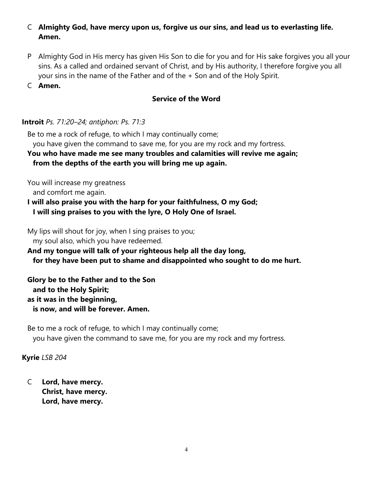## C **Almighty God, have mercy upon us, forgive us our sins, and lead us to everlasting life. Amen.**

- P Almighty God in His mercy has given His Son to die for you and for His sake forgives you all your sins. As a called and ordained servant of Christ, and by His authority, I therefore forgive you all your sins in the name of the Father and of the + Son and of the Holy Spirit.
- C **Amen.**

## **Service of the Word**

### **Introit** *Ps. 71:20–24; antiphon: Ps. 71:3*

Be to me a rock of refuge, to which I may continually come; you have given the command to save me, for you are my rock and my fortress.

#### **You who have made me see many troubles and calamities will revive me again; from the depths of the earth you will bring me up again.**

You will increase my greatness and comfort me again.

**I will also praise you with the harp for your faithfulness, O my God; I will sing praises to you with the lyre, O Holy One of Israel.**

My lips will shout for joy, when I sing praises to you; my soul also, which you have redeemed.

**And my tongue will talk of your righteous help all the day long, for they have been put to shame and disappointed who sought to do me hurt.**

**Glory be to the Father and to the Son and to the Holy Spirit; as it was in the beginning, is now, and will be forever. Amen.**

Be to me a rock of refuge, to which I may continually come; you have given the command to save me, for you are my rock and my fortress.

## **Kyrie** *LSB 204*

C **Lord, have mercy. Christ, have mercy. Lord, have mercy.**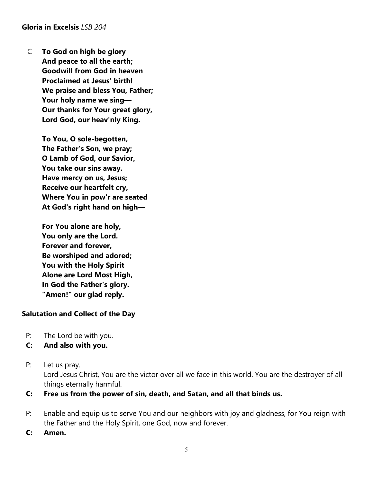**Gloria in Excelsis** *LSB 204*

C **To God on high be glory And peace to all the earth; Goodwill from God in heaven Proclaimed at Jesus' birth! We praise and bless You, Father; Your holy name we sing— Our thanks for Your great glory, Lord God, our heav'nly King.**

> **To You, O sole-begotten, The Father's Son, we pray; O Lamb of God, our Savior, You take our sins away. Have mercy on us, Jesus; Receive our heartfelt cry, Where You in pow'r are seated At God's right hand on high—**

**For You alone are holy, You only are the Lord. Forever and forever, Be worshiped and adored; You with the Holy Spirit Alone are Lord Most High, In God the Father's glory. "Amen!" our glad reply.**

### **Salutation and Collect of the Day**

- P: The Lord be with you.
- **C: And also with you.**
- P: Let us pray.

Lord Jesus Christ, You are the victor over all we face in this world. You are the destroyer of all things eternally harmful.

- **C: Free us from the power of sin, death, and Satan, and all that binds us.**
- P: Enable and equip us to serve You and our neighbors with joy and gladness, for You reign with the Father and the Holy Spirit, one God, now and forever.
- **C: Amen.**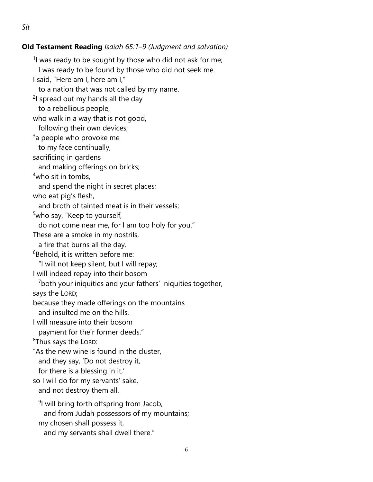### **Old Testament Reading** *Isaiah 65:1–9 (Judgment and salvation)*

<sup>1</sup>l was ready to be sought by those who did not ask for me; I was ready to be found by those who did not seek me. I said, "Here am I, here am I," to a nation that was not called by my name. <sup>2</sup>I spread out my hands all the day to a rebellious people, who walk in a way that is not good, following their own devices;  $^3$ a people who provoke me to my face continually, sacrificing in gardens and making offerings on bricks; 4 who sit in tombs, and spend the night in secret places; who eat pig's flesh, and broth of tainted meat is in their vessels; <sup>5</sup>who say, "Keep to yourself, do not come near me, for I am too holy for you." These are a smoke in my nostrils, a fire that burns all the day.  ${}^6$ Behold, it is written before me: "I will not keep silent, but I will repay; I will indeed repay into their bosom  $\frac{7}{7}$ both your iniquities and your fathers' iniquities together, says the LORD; because they made offerings on the mountains and insulted me on the hills, I will measure into their bosom payment for their former deeds."  $^8$ Thus says the LORD: "As the new wine is found in the cluster, and they say, 'Do not destroy it, for there is a blessing in it,' so I will do for my servants' sake, and not destroy them all. <sup>9</sup>I will bring forth offspring from Jacob, and from Judah possessors of my mountains;

my chosen shall possess it,

and my servants shall dwell there."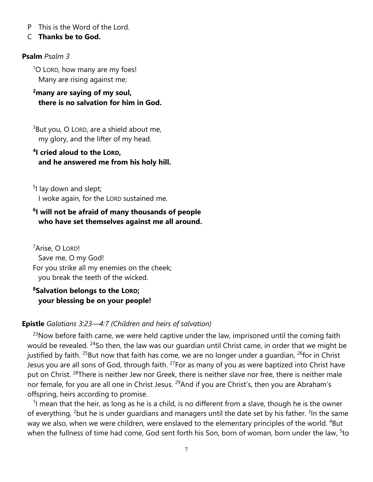P This is the Word of the Lord.

#### C **Thanks be to God.**

#### **Psalm** *Psalm 3*

<sup>1</sup>O LORD, how many are my foes! Many are rising against me;

### **2many are saying of my soul, there is no salvation for him in God.**

 $3$ But you, O LORD, are a shield about me, my glory, and the lifter of my head.

## **4I cried aloud to the LORD, and he answered me from his holy hill.**

<sup>5</sup>I lay down and slept; I woke again, for the LORD sustained me.

### **6I will not be afraid of many thousands of people who have set themselves against me all around.**

<sup>7</sup>Arise, O Lord! Save me, O my God! For you strike all my enemies on the cheek; you break the teeth of the wicked.

# **8Salvation belongs to the LORD; your blessing be on your people!**

### **Epistle** *Galatians 3:23—4:7 (Children and heirs of salvation)*

 $23$ Now before faith came, we were held captive under the law, imprisoned until the coming faith would be revealed. <sup>24</sup>So then, the law was our quardian until Christ came, in order that we might be justified by faith. <sup>25</sup>But now that faith has come, we are no longer under a guardian,  $^{26}$ for in Christ Jesus you are all sons of God, through faith. <sup>27</sup>For as many of you as were baptized into Christ have put on Christ. <sup>28</sup>There is neither Jew nor Greek, there is neither slave nor free, there is neither male nor female, for you are all one in Christ Jesus. <sup>29</sup>And if you are Christ's, then you are Abraham's offspring, heirs according to promise.

 $<sup>1</sup>$  mean that the heir, as long as he is a child, is no different from a slave, though he is the owner</sup> of everything, <sup>2</sup>but he is under guardians and managers until the date set by his father. <sup>3</sup>In the same way we also, when we were children, were enslaved to the elementary principles of the world. <sup>4</sup>But when the fullness of time had come, God sent forth his Son, born of woman, born under the law, <sup>5</sup>to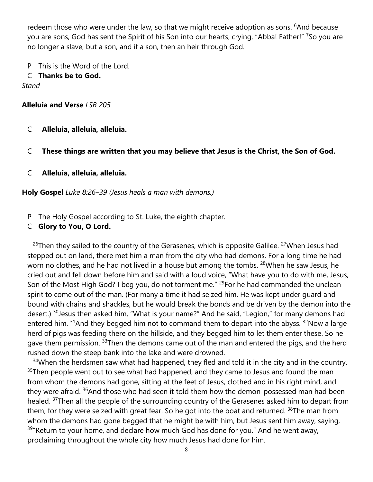redeem those who were under the law, so that we might receive adoption as sons. <sup>6</sup>And because you are sons, God has sent the Spirit of his Son into our hearts, crying, "Abba! Father!" <sup>7</sup>So you are no longer a slave, but a son, and if a son, then an heir through God.

P This is the Word of the Lord.

#### C **Thanks be to God.**

*Stand*

#### **Alleluia and Verse** *LSB 205*

- C **Alleluia, alleluia, alleluia.**
- C **These things are written that you may believe that Jesus is the Christ, the Son of God.**
- C **Alleluia, alleluia, alleluia.**

#### **Holy Gospel** *Luke 8:26–39 (Jesus heals a man with demons.)*

P The Holy Gospel according to St. Luke, the eighth chapter.

### C **Glory to You, O Lord.**

 $26$ Then they sailed to the country of the Gerasenes, which is opposite Galilee.  $27$ When Jesus had stepped out on land, there met him a man from the city who had demons. For a long time he had worn no clothes, and he had not lived in a house but among the tombs. <sup>28</sup>When he saw Jesus, he cried out and fell down before him and said with a loud voice, "What have you to do with me, Jesus, Son of the Most High God? I beg you, do not torment me." <sup>29</sup>For he had commanded the unclean spirit to come out of the man. (For many a time it had seized him. He was kept under guard and bound with chains and shackles, but he would break the bonds and be driven by the demon into the desert.) <sup>30</sup>Jesus then asked him, "What is your name?" And he said, "Legion," for many demons had entered him.  $31$ And they begged him not to command them to depart into the abyss.  $32$ Now a large herd of pigs was feeding there on the hillside, and they begged him to let them enter these. So he gave them permission. <sup>33</sup>Then the demons came out of the man and entered the pigs, and the herd rushed down the steep bank into the lake and were drowned.

<sup>34</sup>When the herdsmen saw what had happened, they fled and told it in the city and in the country.  $35$ Then people went out to see what had happened, and they came to Jesus and found the man from whom the demons had gone, sitting at the feet of Jesus, clothed and in his right mind, and they were afraid.  $36$ And those who had seen it told them how the demon-possessed man had been healed. <sup>37</sup>Then all the people of the surrounding country of the Gerasenes asked him to depart from them, for they were seized with great fear. So he got into the boat and returned. <sup>38</sup>The man from whom the demons had gone begged that he might be with him, but Jesus sent him away, saying,  $39^{\circ}$ Return to your home, and declare how much God has done for you." And he went away, proclaiming throughout the whole city how much Jesus had done for him.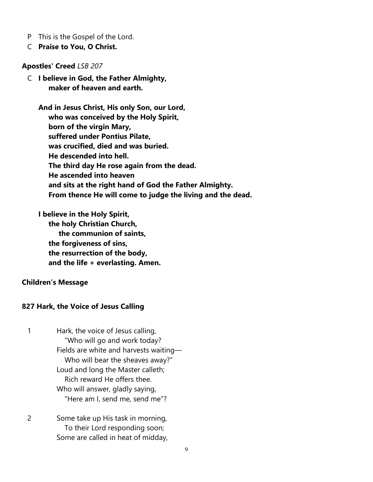- P This is the Gospel of the Lord.
- C **Praise to You, O Christ.**

**Apostles' Creed** *LSB 207*

C **I believe in God, the Father Almighty, maker of heaven and earth.**

**And in Jesus Christ, His only Son, our Lord, who was conceived by the Holy Spirit, born of the virgin Mary, suffered under Pontius Pilate, was crucified, died and was buried. He descended into hell. The third day He rose again from the dead. He ascended into heaven and sits at the right hand of God the Father Almighty. From thence He will come to judge the living and the dead.**

**I believe in the Holy Spirit, the holy Christian Church, the communion of saints, the forgiveness of sins, the resurrection of the body, and the life + everlasting. Amen.**

#### **Children's Message**

#### **827 Hark, the Voice of Jesus Calling**

- 1 Hark, the voice of Jesus calling, "Who will go and work today? Fields are white and harvests waiting— Who will bear the sheaves away?" Loud and long the Master calleth; Rich reward He offers thee. Who will answer, gladly saying, "Here am I, send me, send me"?
- 2 Some take up His task in morning, To their Lord responding soon; Some are called in heat of midday,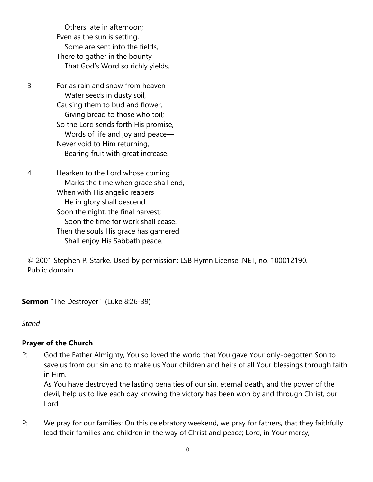Others late in afternoon; Even as the sun is setting, Some are sent into the fields, There to gather in the bounty That God's Word so richly yields.

3 For as rain and snow from heaven Water seeds in dusty soil, Causing them to bud and flower, Giving bread to those who toil; So the Lord sends forth His promise, Words of life and joy and peace— Never void to Him returning, Bearing fruit with great increase.

4 Hearken to the Lord whose coming Marks the time when grace shall end, When with His angelic reapers He in glory shall descend. Soon the night, the final harvest; Soon the time for work shall cease. Then the souls His grace has garnered Shall enjoy His Sabbath peace.

© 2001 Stephen P. Starke. Used by permission: LSB Hymn License .NET, no. 100012190. Public domain

**Sermon** "The Destroyer" (Luke 8:26-39)

*Stand*

### **Prayer of the Church**

P: God the Father Almighty, You so loved the world that You gave Your only-begotten Son to save us from our sin and to make us Your children and heirs of all Your blessings through faith in Him.

As You have destroyed the lasting penalties of our sin, eternal death, and the power of the devil, help us to live each day knowing the victory has been won by and through Christ, our Lord.

P: We pray for our families: On this celebratory weekend, we pray for fathers, that they faithfully lead their families and children in the way of Christ and peace; Lord, in Your mercy,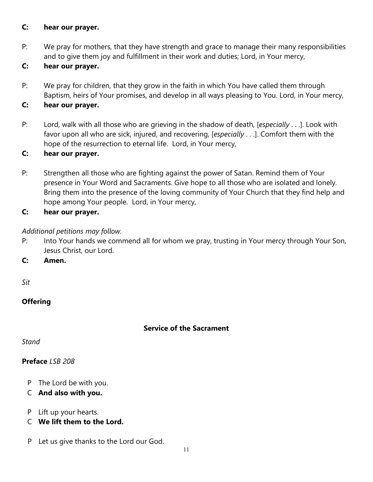### **C: hear our prayer.**

P: We pray for mothers, that they have strength and grace to manage their many responsibilities and to give them joy and fulfillment in their work and duties; Lord, in Your mercy,

## **C: hear our prayer.**

P: We pray for children, that they grow in the faith in which You have called them through Baptism, heirs of Your promises, and develop in all ways pleasing to You. Lord, in Your mercy,

## **C: hear our prayer.**

P: Lord, walk with all those who are grieving in the shadow of death, [*especially* . . .]. Look with favor upon all who are sick, injured, and recovering, [*especially* . . .]. Comfort them with the hope of the resurrection to eternal life. Lord, in Your mercy,

### **C: hear our prayer.**

P: Strengthen all those who are fighting against the power of Satan. Remind them of Your presence in Your Word and Sacraments. Give hope to all those who are isolated and lonely. Bring them into the presence of the loving community of Your Church that they find help and hope among Your people. Lord, in Your mercy,

## **C: hear our prayer.**

## *Additional petitions may follow.*

P: Into Your hands we commend all for whom we pray, trusting in Your mercy through Your Son, Jesus Christ, our Lord.

**C: Amen.**

*Sit*

## **Offering**

### **Service of the Sacrament**

*Stand*

### **Preface** *LSB 208*

- P The Lord be with you.
- C **And also with you.**
- P Lift up your hearts.
- C **We lift them to the Lord.**
- P Let us give thanks to the Lord our God.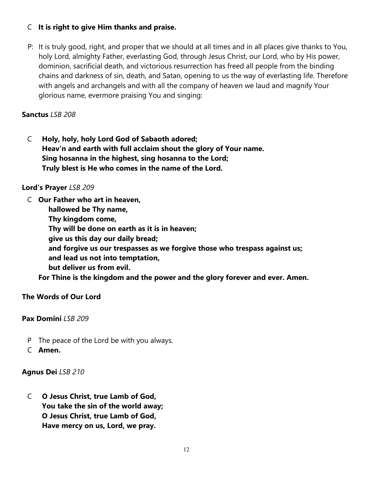## C **It is right to give Him thanks and praise.**

P: It is truly good, right, and proper that we should at all times and in all places give thanks to You, holy Lord, almighty Father, everlasting God, through Jesus Christ, our Lord, who by His power, dominion, sacrificial death, and victorious resurrection has freed all people from the binding chains and darkness of sin, death, and Satan, opening to us the way of everlasting life. Therefore with angels and archangels and with all the company of heaven we laud and magnify Your glorious name, evermore praising You and singing:

### **Sanctus** *LSB 208*

C **Holy, holy, holy Lord God of Sabaoth adored; Heav'n and earth with full acclaim shout the glory of Your name. Sing hosanna in the highest, sing hosanna to the Lord; Truly blest is He who comes in the name of the Lord.**

### **Lord's Prayer** *LSB 209*

C **Our Father who art in heaven,**

 **hallowed be Thy name,**

 **Thy kingdom come,**

 **Thy will be done on earth as it is in heaven;**

 **give us this day our daily bread;**

 **and forgive us our trespasses as we forgive those who trespass against us;**

 **and lead us not into temptation,**

 **but deliver us from evil.**

**For Thine is the kingdom and the power and the glory forever and ever. Amen.**

### **The Words of Our Lord**

### **Pax Domini** *LSB 209*

- P The peace of the Lord be with you always.
- C **Amen.**

### **Agnus Dei** *LSB 210*

C **O Jesus Christ, true Lamb of God, You take the sin of the world away; O Jesus Christ, true Lamb of God, Have mercy on us, Lord, we pray.**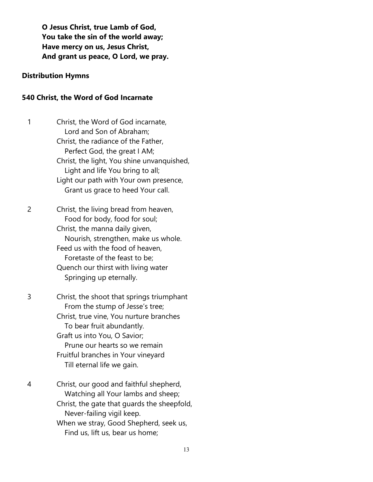**O Jesus Christ, true Lamb of God, You take the sin of the world away; Have mercy on us, Jesus Christ, And grant us peace, O Lord, we pray.**

#### **Distribution Hymns**

#### **540 Christ, the Word of God Incarnate**

|  | Christ, the Word of God incarnate,         |
|--|--------------------------------------------|
|  | Lord and Son of Abraham;                   |
|  | Christ, the radiance of the Father,        |
|  | Perfect God, the great I AM;               |
|  | Christ, the light, You shine unvanquished, |
|  | Light and life You bring to all;           |
|  | Light our path with Your own presence,     |
|  | Grant us grace to heed Your call.          |
|  |                                            |

2 Christ, the living bread from heaven, Food for body, food for soul; Christ, the manna daily given, Nourish, strengthen, make us whole. Feed us with the food of heaven, Foretaste of the feast to be; Quench our thirst with living water Springing up eternally.

3 Christ, the shoot that springs triumphant From the stump of Jesse's tree; Christ, true vine, You nurture branches To bear fruit abundantly. Graft us into You, O Savior; Prune our hearts so we remain Fruitful branches in Your vineyard Till eternal life we gain.

4 Christ, our good and faithful shepherd, Watching all Your lambs and sheep; Christ, the gate that guards the sheepfold, Never-failing vigil keep. When we stray, Good Shepherd, seek us, Find us, lift us, bear us home;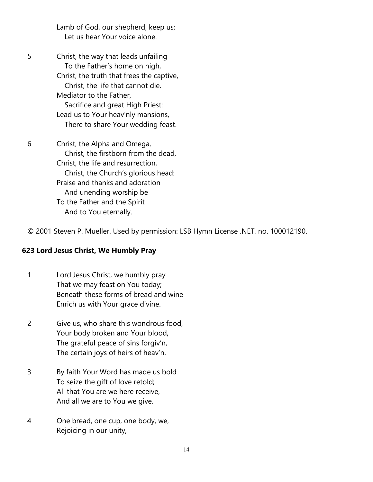Lamb of God, our shepherd, keep us; Let us hear Your voice alone.

5 Christ, the way that leads unfailing To the Father's home on high, Christ, the truth that frees the captive, Christ, the life that cannot die. Mediator to the Father, Sacrifice and great High Priest: Lead us to Your heav'nly mansions, There to share Your wedding feast.

6 Christ, the Alpha and Omega, Christ, the firstborn from the dead, Christ, the life and resurrection, Christ, the Church's glorious head: Praise and thanks and adoration And unending worship be To the Father and the Spirit And to You eternally.

© 2001 Steven P. Mueller. Used by permission: LSB Hymn License .NET, no. 100012190.

### **623 Lord Jesus Christ, We Humbly Pray**

- 1 Lord Jesus Christ, we humbly pray That we may feast on You today; Beneath these forms of bread and wine Enrich us with Your grace divine.
- 2 Give us, who share this wondrous food, Your body broken and Your blood, The grateful peace of sins forgiv'n, The certain joys of heirs of heav'n.
- 3 By faith Your Word has made us bold To seize the gift of love retold; All that You are we here receive, And all we are to You we give.
- 4 One bread, one cup, one body, we, Rejoicing in our unity,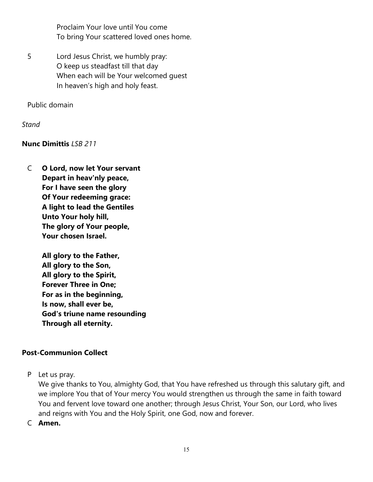Proclaim Your love until You come To bring Your scattered loved ones home.

5 Lord Jesus Christ, we humbly pray: O keep us steadfast till that day When each will be Your welcomed guest In heaven's high and holy feast.

Public domain

*Stand*

### **Nunc Dimittis** *LSB 211*

C **O Lord, now let Your servant Depart in heav'nly peace, For I have seen the glory Of Your redeeming grace: A light to lead the Gentiles Unto Your holy hill, The glory of Your people, Your chosen Israel.**

> **All glory to the Father, All glory to the Son, All glory to the Spirit, Forever Three in One; For as in the beginning, Is now, shall ever be, God's triune name resounding Through all eternity.**

### **Post-Communion Collect**

P Let us pray.

We give thanks to You, almighty God, that You have refreshed us through this salutary gift, and we implore You that of Your mercy You would strengthen us through the same in faith toward You and fervent love toward one another; through Jesus Christ, Your Son, our Lord, who lives and reigns with You and the Holy Spirit, one God, now and forever.

C **Amen.**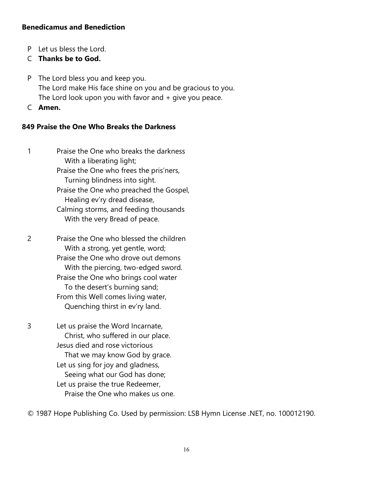#### **Benedicamus and Benediction**

P Let us bless the Lord.

## C **Thanks be to God.**

- P The Lord bless you and keep you. The Lord make His face shine on you and be gracious to you. The Lord look upon you with favor and  $+$  give you peace.
- C **Amen.**

#### **849 Praise the One Who Breaks the Darkness**

- 1 Praise the One who breaks the darkness With a liberating light; Praise the One who frees the pris'ners, Turning blindness into sight. Praise the One who preached the Gospel, Healing ev'ry dread disease, Calming storms, and feeding thousands With the very Bread of peace.
- 2 Praise the One who blessed the children With a strong, yet gentle, word; Praise the One who drove out demons With the piercing, two-edged sword. Praise the One who brings cool water To the desert's burning sand; From this Well comes living water, Quenching thirst in ev'ry land.
- 3 Let us praise the Word Incarnate, Christ, who suffered in our place. Jesus died and rose victorious That we may know God by grace. Let us sing for joy and gladness, Seeing what our God has done; Let us praise the true Redeemer, Praise the One who makes us one.

© 1987 Hope Publishing Co. Used by permission: LSB Hymn License .NET, no. 100012190.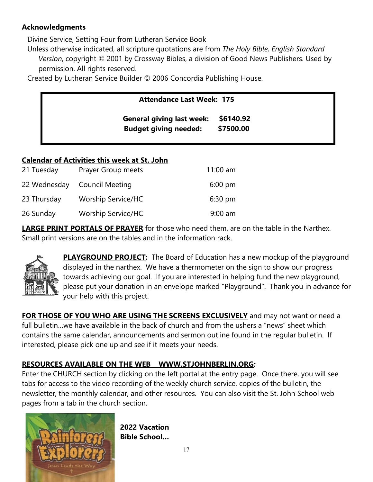## **Acknowledgments**

Divine Service, Setting Four from Lutheran Service Book

Unless otherwise indicated, all scripture quotations are from *The Holy Bible, English Standard Version*, copyright © 2001 by Crossway Bibles, a division of Good News Publishers. Used by permission. All rights reserved.

Created by Lutheran Service Builder © 2006 Concordia Publishing House.

| <b>Attendance Last Week: 175</b> |           |
|----------------------------------|-----------|
| <b>General giving last week:</b> | \$6140.92 |
| <b>Budget giving needed:</b>     | \$7500.00 |

## **Calendar of Activities this week at St. John**

| 21 Tuesday  | Prayer Group meets           | $11:00$ am        |
|-------------|------------------------------|-------------------|
|             | 22 Wednesday Council Meeting | $6:00 \text{ pm}$ |
| 23 Thursday | <b>Worship Service/HC</b>    | $6:30$ pm         |
| 26 Sunday   | <b>Worship Service/HC</b>    | $9:00$ am         |

**LARGE PRINT PORTALS OF PRAYER** for those who need them, are on the table in the Narthex. Small print versions are on the tables and in the information rack.



**PLAYGROUND PROJECT:** The Board of Education has a new mockup of the playground displayed in the narthex. We have a thermometer on the sign to show our progress towards achieving our goal. If you are interested in helping fund the new playground, please put your donation in an envelope marked "Playground". Thank you in advance for your help with this project.

**FOR THOSE OF YOU WHO ARE USING THE SCREENS EXCLUSIVELY** and may not want or need a full bulletin…we have available in the back of church and from the ushers a "news" sheet which contains the same calendar, announcements and sermon outline found in the regular bulletin. If interested, please pick one up and see if it meets your needs.

# **RESOURCES AVAILABLE ON THE WEB [WWW.STJOHNBERLIN.ORG:](http://www.stjohnberlin.org/)**

Enter the CHURCH section by clicking on the left portal at the entry page. Once there, you will see tabs for access to the video recording of the weekly church service, copies of the bulletin, the newsletter, the monthly calendar, and other resources. You can also visit the St. John School web pages from a tab in the church section.



**2022 Vacation Bible School…**